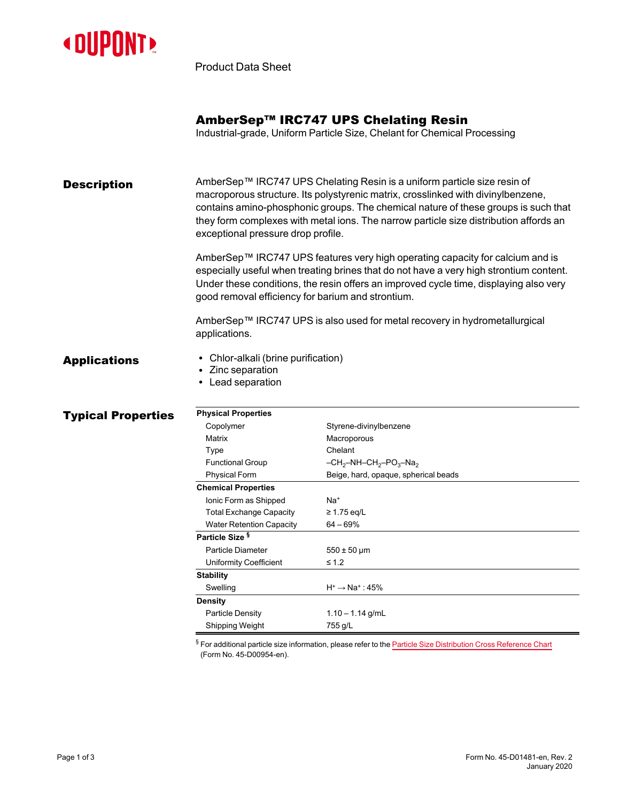

Product Data Sheet

## AmberSep™ IRC747 UPS Chelating Resin

Industrial-grade, Uniform Particle Size, Chelant for Chemical Processing

**Description** AmberSep™ IRC747 UPS Chelating Resin is a uniform particle size resin of macroporous structure. Its polystyrenic matrix, crosslinked with divinylbenzene, contains amino-phosphonic groups. The chemical nature of these groups is such that they form complexes with metal ions. The narrow particle size distribution affords an exceptional pressure drop profile.

> AmberSep™ IRC747 UPS features very high operating capacity for calcium and is especially useful when treating brines that do not have a very high strontium content. Under these conditions, the resin offers an improved cycle time, displaying also very good removal efficiency for barium and strontium.

AmberSep™ IRC747 UPS is also used for metal recovery in hydrometallurgical applications.

- Applications Chlor-alkali (brine purification)
	- Zinc separation
	- Lead separation

| <b>Typical Properties</b> | <b>Physical Properties</b>      |                                      |  |  |
|---------------------------|---------------------------------|--------------------------------------|--|--|
|                           | Copolymer                       | Styrene-divinylbenzene               |  |  |
|                           | Matrix                          | Macroporous                          |  |  |
|                           | Type                            | Chelant                              |  |  |
|                           | <b>Functional Group</b>         | $-CH_2-NH-CH_2-PO_3-Na_2$            |  |  |
|                           | <b>Physical Form</b>            | Beige, hard, opaque, spherical beads |  |  |
|                           | <b>Chemical Properties</b>      |                                      |  |  |
|                           | Ionic Form as Shipped           | Na <sup>+</sup>                      |  |  |
|                           | <b>Total Exchange Capacity</b>  | $\geq$ 1.75 eq/L                     |  |  |
|                           | <b>Water Retention Capacity</b> | $64 - 69%$                           |  |  |
|                           | Particle Size <sup>§</sup>      |                                      |  |  |
|                           | Particle Diameter               | $550 \pm 50 \,\text{\mu m}$          |  |  |
|                           | <b>Uniformity Coefficient</b>   | $\leq 1.2$                           |  |  |
|                           | <b>Stability</b>                |                                      |  |  |
|                           | Swelling                        | $H^+ \rightarrow Na^+$ : 45%         |  |  |
|                           | <b>Density</b>                  |                                      |  |  |
|                           | <b>Particle Density</b>         | $1.10 - 1.14$ g/mL                   |  |  |
|                           | Shipping Weight                 | 755 g/L                              |  |  |

 $§$  For additional particle size information, please refer to the Particle Size [Distribution](https://www.dupont.com/content/dam/dupont/amer/us/en/water-solutions/public/documents/en/45-D00954-en.pdf) Cross Reference Chart (Form No. 45-D00954-en).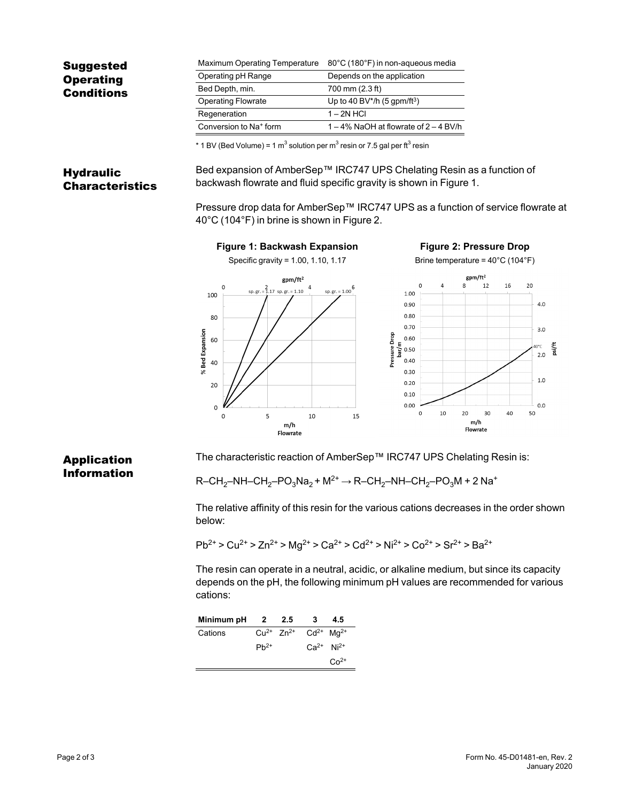| Maximum Operating Temperature      | 80°C (180°F) in non-aqueous media         |  |
|------------------------------------|-------------------------------------------|--|
| Operating pH Range                 | Depends on the application                |  |
| Bed Depth, min.                    | 700 mm (2.3 ft)                           |  |
| <b>Operating Flowrate</b>          | Up to 40 BV*/h $(5$ gpm/ft <sup>3</sup> ) |  |
| Regeneration                       | $1 - 2N$ HCI                              |  |
| Conversion to Na <sup>+</sup> form | $1-4\%$ NaOH at flowrate of $2-4$ BV/h    |  |
|                                    |                                           |  |

 $^*$  1 BV (Bed Volume) = 1 m $^3$  solution per m $^3$  resin or 7.5 gal per ft $^3$  resin

### **Hydraulic** Characteristics

Bed expansion of AmberSep™ IRC747 UPS Chelating Resin as a function of backwash flowrate and fluid specific gravity is shown in [Figure 1.](#page-1-0)

<span id="page-1-1"></span>Pressure drop data for AmberSep™ IRC747 UPS as a function of service flowrate at 40°C (104°F) in brine is shown in [Figure 2.](#page-1-1)

<span id="page-1-0"></span>

# Application Information

The characteristic reaction of AmberSep™ IRC747 UPS Chelating Resin is:

 $R$ –CH<sub>2</sub>–NH–CH<sub>2</sub>–PO<sub>3</sub>Na<sub>2</sub> + M<sup>2+</sup> → R–CH<sub>2</sub>–NH–CH<sub>2</sub>–PO<sub>3</sub>M + 2 Na<sup>+</sup>

The relative affinity of this resin for the various cations decreases in the order shown below:

 $Pb^{2+} > Cu^{2+} > Zn^{2+} > Ma^{2+} > Ca^{2+} > Cd^{2+} > Ni^{2+} > Co^{2+} > Sr^{2+} > Ba^{2+}$ 

The resin can operate in a neutral, acidic, or alkaline medium, but since its capacity depends on the pH, the following minimum pH values are recommended for various cations:

| Minimum pH | 2 2.5     | 3                                 | 4.5        |
|------------|-----------|-----------------------------------|------------|
| Cations    |           | $Cu^{2+} Zn^{2+} Cd^{2+} Ma^{2+}$ |            |
|            | $Pb^{2+}$ | $Ca^{2+}$ Ni <sup>2+</sup>        |            |
|            |           |                                   | $C_0^{2+}$ |